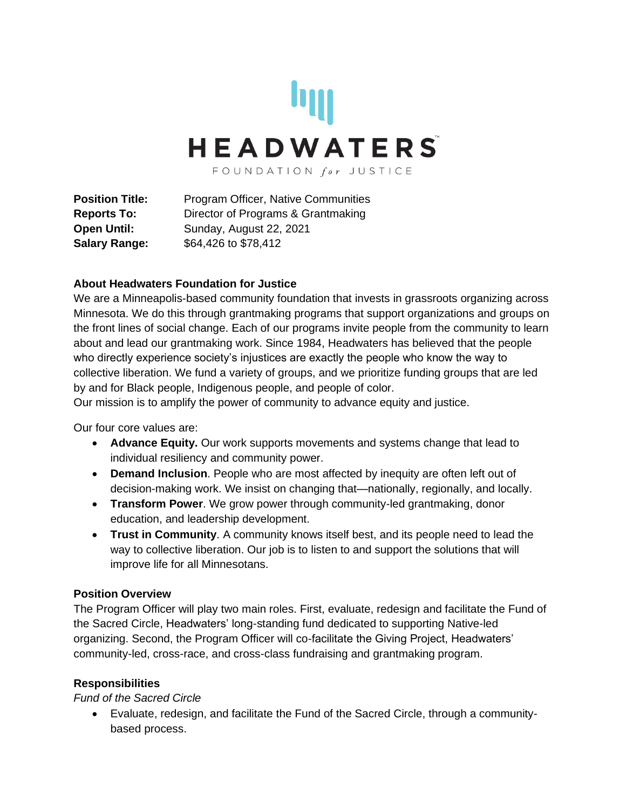

**Position Title:** Program Officer, Native Communities **Reports To:** Director of Programs & Grantmaking **Open Until:** Sunday, August 22, 2021 **Salary Range:** \$64,426 to \$78,412

### **About Headwaters Foundation for Justice**

We are a Minneapolis-based community foundation that invests in grassroots organizing across Minnesota. We do this through grantmaking programs that support organizations and groups on the front lines of social change. Each of our programs invite people from the community to learn about and lead our grantmaking work. Since 1984, Headwaters has believed that the people who directly experience society's injustices are exactly the people who know the way to collective liberation. We fund a variety of groups, and we prioritize funding groups that are led by and for Black people, Indigenous people, and people of color.

Our mission is to amplify the power of community to advance equity and justice.

Our four core values are:

- **Advance Equity.** Our work supports movements and systems change that lead to individual resiliency and community power.
- **Demand Inclusion**. People who are most affected by inequity are often left out of decision-making work. We insist on changing that—nationally, regionally, and locally.
- **Transform Power**. We grow power through community-led grantmaking, donor education, and leadership development.
- **Trust in Community**. A community knows itself best, and its people need to lead the way to collective liberation. Our job is to listen to and support the solutions that will improve life for all Minnesotans.

#### **Position Overview**

The Program Officer will play two main roles. First, evaluate, redesign and facilitate the Fund of the Sacred Circle, Headwaters' long-standing fund dedicated to supporting Native-led organizing. Second, the Program Officer will co-facilitate the Giving Project, Headwaters' community-led, cross-race, and cross-class fundraising and grantmaking program.

### **Responsibilities**

*Fund of the Sacred Circle* 

• Evaluate, redesign, and facilitate the Fund of the Sacred Circle, through a communitybased process.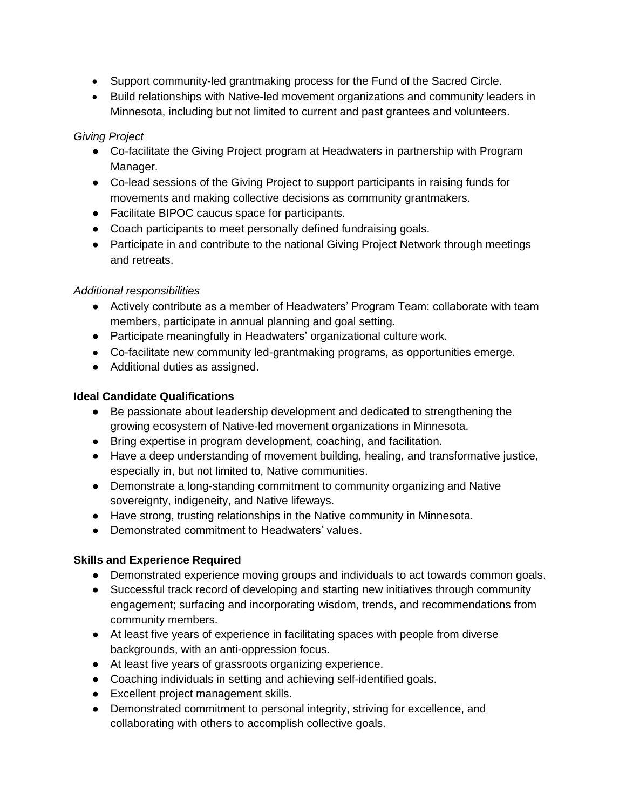- Support community-led grantmaking process for the Fund of the Sacred Circle.
- Build relationships with Native-led movement organizations and community leaders in Minnesota, including but not limited to current and past grantees and volunteers.

# *Giving Project*

- Co-facilitate the Giving Project program at Headwaters in partnership with Program Manager.
- Co-lead sessions of the Giving Project to support participants in raising funds for movements and making collective decisions as community grantmakers.
- Facilitate BIPOC caucus space for participants.
- Coach participants to meet personally defined fundraising goals.
- Participate in and contribute to the national Giving Project Network through meetings and retreats.

### *Additional responsibilities*

- Actively contribute as a member of Headwaters' Program Team: collaborate with team members, participate in annual planning and goal setting.
- Participate meaningfully in Headwaters' organizational culture work.
- Co-facilitate new community led-grantmaking programs, as opportunities emerge.
- Additional duties as assigned.

# **Ideal Candidate Qualifications**

- Be passionate about leadership development and dedicated to strengthening the growing ecosystem of Native-led movement organizations in Minnesota.
- Bring expertise in program development, coaching, and facilitation.
- Have a deep understanding of movement building, healing, and transformative justice, especially in, but not limited to, Native communities.
- Demonstrate a long-standing commitment to community organizing and Native sovereignty, indigeneity, and Native lifeways.
- Have strong, trusting relationships in the Native community in Minnesota.
- Demonstrated commitment to Headwaters' values.

### **Skills and Experience Required**

- Demonstrated experience moving groups and individuals to act towards common goals.
- Successful track record of developing and starting new initiatives through community engagement; surfacing and incorporating wisdom, trends, and recommendations from community members.
- At least five years of experience in facilitating spaces with people from diverse backgrounds, with an anti-oppression focus.
- At least five years of grassroots organizing experience.
- Coaching individuals in setting and achieving self-identified goals.
- Excellent project management skills.
- Demonstrated commitment to personal integrity, striving for excellence, and collaborating with others to accomplish collective goals.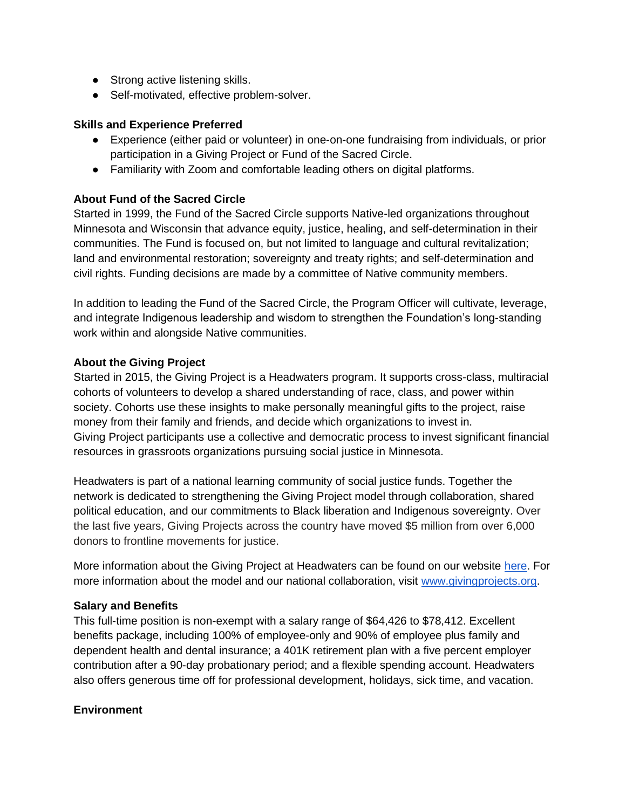- Strong active listening skills.
- Self-motivated, effective problem-solver.

### **Skills and Experience Preferred**

- Experience (either paid or volunteer) in one-on-one fundraising from individuals, or prior participation in a Giving Project or Fund of the Sacred Circle.
- Familiarity with Zoom and comfortable leading others on digital platforms.

### **About Fund of the Sacred Circle**

Started in 1999, the Fund of the Sacred Circle supports Native-led organizations throughout Minnesota and Wisconsin that advance equity, justice, healing, and self-determination in their communities. The Fund is focused on, but not limited to language and cultural revitalization; land and environmental restoration; sovereignty and treaty rights; and self-determination and civil rights. Funding decisions are made by a committee of Native community members.

In addition to leading the Fund of the Sacred Circle, the Program Officer will cultivate, leverage, and integrate Indigenous leadership and wisdom to strengthen the Foundation's long-standing work within and alongside Native communities.

### **About the Giving Project**

Started in 2015, the Giving Project is a Headwaters program. It supports cross-class, multiracial cohorts of volunteers to develop a shared understanding of race, class, and power within society. Cohorts use these insights to make personally meaningful gifts to the project, raise money from their family and friends, and decide which organizations to invest in. Giving Project participants use a collective and democratic process to invest significant financial resources in grassroots organizations pursuing social justice in Minnesota.

Headwaters is part of a national learning community of social justice funds. Together the network is dedicated to strengthening the Giving Project model through collaboration, shared political education, and our commitments to Black liberation and Indigenous sovereignty. Over the last five years, Giving Projects across the country have moved \$5 million from over 6,000 donors to frontline movements for justice.

More information about the Giving Project at Headwaters can be found on our website [here.](https://headwatersfoundation.org/giving-project-program/what-is-a-giving-project/) For more information about the model and our national collaboration, visit [www.givingprojects.org.](http://www.givingprojects.org/)

### **Salary and Benefits**

This full-time position is non-exempt with a salary range of \$64,426 to \$78,412. Excellent benefits package, including 100% of employee-only and 90% of employee plus family and dependent health and dental insurance; a 401K retirement plan with a five percent employer contribution after a 90-day probationary period; and a flexible spending account. Headwaters also offers generous time off for professional development, holidays, sick time, and vacation.

### **Environment**